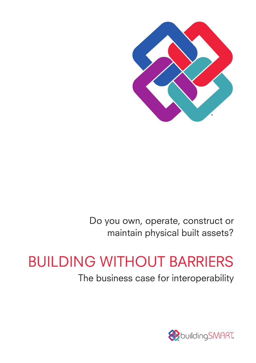

Do you own, operate, construct or maintain physical built assets?

# BUILDING WITHOUT BARRIERS

The business case for interoperability

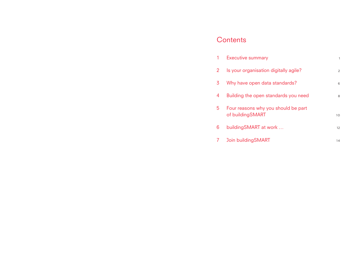## **Contents**

| 1 | <b>Executive summary</b>                                |                |
|---|---------------------------------------------------------|----------------|
| 2 | Is your organisation digitally agile?                   | $\overline{2}$ |
| 3 | Why have open data standards?                           | 6              |
| 4 | Building the open standards you need                    | 8              |
| 5 | Four reasons why you should be part<br>of buildingSMART | 10             |
| 6 | building SMART at work                                  | 12             |
| 7 | Join building SMART                                     | 14             |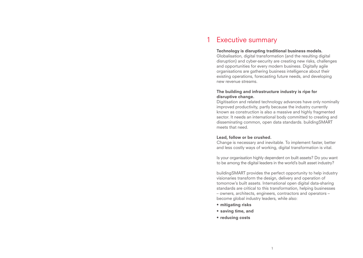#### Executive summary 1

#### Technology is disrupting traditional business models.

Globalisation, digital transformation (and the resulting digital disruption) and cyber-security are creating new risks, challenges and opportunities for every modern business. Digitally agile organisations are gathering business intelligence about their existing operations, forecasting future needs, and developing new revenue streams.

#### The building and infrastructure industry is ripe for disruptive change.

Digitisation and related technology advances have only nominally improved productivity, partly because the industry currently known as construction is also a massive and highly fragmented sector. It needs an international body committed to creating and disseminating common, open data standards. buildingSMART meets that need.

#### Lead, follow or be crushed.

Change is necessary and inevitable. To implement faster, better and less costly ways of working, digital transformation is vital.

Is your organisation highly dependent on built assets? Do you want to be among the digital leaders in the world's built asset industry?

buildingSMART provides the perfect opportunity to help industry visionaries transform the design, delivery and operation of tomorrow's built assets. International open digital data-sharing standards are critical to this transformation, helping businesses – owners, architects, engineers, contractors and operators – become global industry leaders, while also:

- mitigating risks
- saving time, and
- reducing costs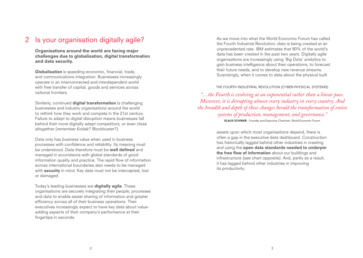### Is your organisation digitally agile? 2

Organisations around the world are facing major challenges due to globalisation, digital transformation and data security.

Globalisation is speeding economic, financial, trade, and communications integration. Businesses increasingly operate in an interconnected and interdependent world with free transfer of capital, goods and services across national frontiers.

Similarly, continued **digital transformation** is challenging businesses and industry organisations around the world to rethink how they work and compete in the 21st century. Failure to adapt to digital disruption means businesses fall behind their more digitally adept competitors, or even close altogether (remember Kodak? Blockbuster?).

Data only has business value when used in business processes with confidence and reliability. Its meaning must be understood. Data therefore must be **well defined** and managed in accordance with global standards of good information quality and practice. The rapid flow of information across international boundaries also needs to be managed with **security** in mind. Key data must not be intercepted, lost or damaged.

Today's leading businesses are digitally agile. These organisations are securely integrating their people, processes and data to enable easier sharing of information and greater efficiency across all of their business operations. Their executives increasingly expect to have key data about valueadding aspects of their company's performance at their fingertips in seconds.

As we move into what the World Economic Forum has called the Fourth Industrial Revolution, data is being created at an unprecedented rate. IBM estimates that 90% of the world's data has been created in the past two years. Digitally agile organisations are increasingly using 'Big Data' analytics to gain business intelligence about their operations, to forecast their future needs, and to develop new revenue streams. Surprisingly, when it comes to data about the physical built

#### THE FOURTH INDUSTRIAL REVOLUTION (CYBER-PHYSICAL SYSTEMS)

*"…the Fourth is evolving at an exponential rather than a linear pace. Moreover, it is disrupting almost every industry in every country. And the breadth and depth of these changes herald the transformation of entire systems of production, management, and governance."* KLAUS SCHWAB - Founder and Executive Chairman, World Economic Forum

> assets upon which most organisations depend, there is often a gap in the executive data dashboard. Construction has historically lagged behind other industries in creating and using the open data standards needed to underpin the free flow of information about our buildings and infrastructure (see chart opposite). And, partly as a result, it has lagged behind other industries in improving its productivity.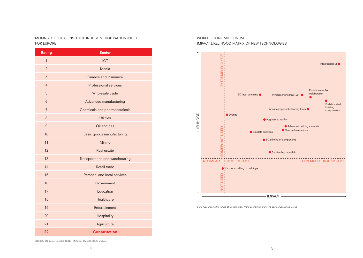MCKINSEY GLOBAL INSTITUTE INDUSTRY DIGITISATION INDEX FOR EUROPE

| <b>Rating</b>  | <b>Sector</b>                  |
|----------------|--------------------------------|
| $\overline{1}$ | <b>ICT</b>                     |
| $\overline{2}$ | Media                          |
| $\overline{3}$ | Finance and insurance          |
| $\overline{4}$ | Professional services          |
| $\overline{5}$ | Wholesale trade                |
| $\,6\,$        | Advanced manufacturing         |
| $\overline{7}$ | Chemicals and pharmaceuticals  |
| 8              | <b>Utilities</b>               |
| $\overline{9}$ | Oil and gas                    |
| 10             | Basic goods manufacturing      |
| 11             | Mining                         |
| 12             | Real estate                    |
| 13             | Transportation and warehousing |
| 14             | Retail trade                   |
| 15             | Personal and local services    |
| 16             | Government                     |
| 17             | Education                      |
| 18             | Healthcare                     |
| 19             | Entertainment                  |
| 20             | Hospitality                    |
| 21             | Agriculture                    |
| 22             | <b>Construction</b>            |

#### WORLD ECONOMIC FORUM IMPACT-LIKELIHOOD MATRIX OF NEW TECHNOLOGIES



SOURCE: Shaping the Future of Construction, World Economic Forum/The Boston Consulting Group

SOURCE: EU Klems; Eurostat; OECD; McKinsey Global Institute analysis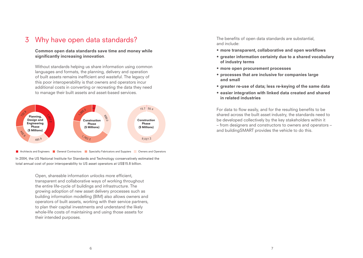### Why have open data standards? 3 The benefits of open data standards are substantial,

Common open data standards save time and money while significantly increasing innovation.

Without standards helping us share information using common languages and formats, the planning, delivery and operation of built assets remains inefficient and wasteful. The legacy of this poor interoperability is that owners and operators incur additional costs in converting or recreating the data they need to manage their built assets and asset-based services.



Architects and Engineers **General Contractors General Speciality Fabricators and Suppiers General Operators** 

In 2004, the US National Institute for Standards and Technology conservatively estimated the total annual cost of poor interoperability to US asset operators at US\$15.8 billion.

> Open, shareable information unlocks more efficient, transparent and collaborative ways of working throughout the entire life-cycle of buildings and infrastructure. The growing adoption of new asset delivery processes such as building information modelling (BIM) also allows owners and operators of built assets, working with their service partners, to plan their capital investments and understand the likely whole-life costs of maintaining and using those assets for their intended purposes. .<br>External<br>External

and include:

- more transparent, collaborative and open workflows
- greater information certainty due to a shared vocabulary of industry terms
- more open procurement processes
- processes that are inclusive for companies large and small
- greater re-use of data; less re-keying of the same data
- easier integration with linked data created and shared in related industries

For data to flow easily, and for the resulting benefits to be shared across the built asset industry, the standards need to be developed collectively by the key stakeholders within it – from designers and constructors to owners and operators – and buildingSMART provides the vehicle to do this.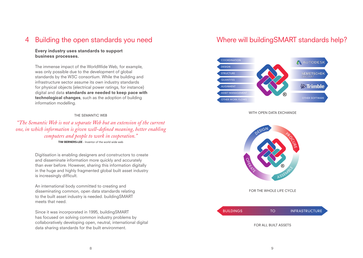#### Building the open standards you need 4

### Every industry uses standards to support business processes.

The immense impact of the WorldWide Web, for example, was only possible due to the development of global nd only possible due to the development of global.<br>standards by the W3C consortium. While the building and  $\overline{\text{infr}}$  astructure sector assume its own industry standards for physical objects (electrical power ratings, for instance) digital and data standards are needed to keep pace with  $\blacksquare$ technological changes, such as the adoption of building information modelling.

#### THE SEMANTIC WEB

*"The Semantic Web is not a separate Web but an extension of the current one, in which information is given well-defined meaning, better enabling computers and people to work in cooperation."* TIM BERNERS-LEE - Inventor of the world wide web

> Digitisation is enabling designers and constructors to create and disseminate information more quickly and accurately than ever before. However, sharing this information digitally in the huge and highly fragmented global built asset industry is increasingly difficult.

An international body committed to creating and disseminating common, open data standards relating to the built asset industry is needed. buildingSMART meets that need.

Since it was incorporated in 1995, buildingSMART has focused on solving common industry problems by collaboratively developing open, neutral, international digital data sharing standards for the built environment.

### Where will buildingSMART standards help?



#### WITH OPEN DATA EXCHANGE



FOR THE WHOLE LIFE CYCLE



#### FOR ALL BUILT ASSETS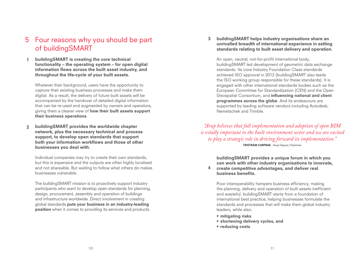### 5 Four reasons why you should be part of buildingSMART

buildingSMART is creating the core technical functionality – the operating system – for open digital information flows across the built asset industry, and throughout the life-cycle of your built assets. 1

Whatever their background, users have the opportunity to capture their existing business processes and make them digital. As a result, the delivery of future built assets will be accompanied by the handover of detailed digital information that can be re-used and augmented by owners and operators, giving them a clearer view of how their built assets support their business operations.

buildingSMART provides the worldwide chapter network, plus the necessary technical and process support, to develop open standards that support both your information workflows and those of other businesses you deal with.  $\overline{\mathbf{2}}$ 

Individual companies may try to create their own standards, but this is expensive and the outputs are often highly localised and not shareable. But waiting to follow what others do makes businesses vulnerable.

The buildingSMART mission is to proactively support industry participants who want to develop open standards for planning, design, procurement, assembly and operation of buildings and infrastructure worldwide. Direct involvement in creating global standards puts your business in an industry-leading position when it comes to providing its services and products.

buildingSMART helps industry organisations share an unrivalled breadth of international experience in setting standards relating to built asset delivery and operation. 3

An open, neutral, not-for-profit international body, buildingSMART led development of geometric data exchange standards. Its core Industry Foundation Class standards achieved ISO approval in 2012 (buildingSMART also leads the ISO working group responsible for these standards). It is engaged with other international standards bodies such as the European Committee for Standardization (CEN) and the Open Geospatial Consortium, and influencing national and client programmes across the globe. And its endeavours are supported by leading software vendors including Autodesk, Nemetschek and Trimble.

*"Arup believes that full implementation and adoption of open BIM is vitally important to the built environment sector and we are excited to play a strategic role in driving forward its implementation."*

TRISTRAM CARFRAE - Arup Deputy Chairman

buildingSMART provides a unique forum in which you can work with other industry organisations to innovate,

create competitive advantages, and deliver real business benefits. 4

Poor interoperability hampers business efficiency, making the planning, delivery and operation of built assets inefficient and wasteful. buildingSMART starts from a foundation of international best practice, helping businesses formulate the standards and processes that will make them global industry leaders, while also:

- mitigating risks
- shortening delivery cycles, and
- reducing costs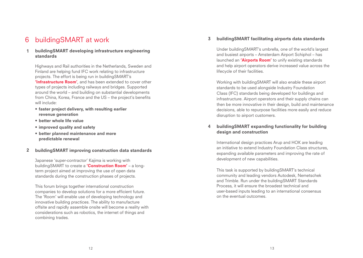#### buildingSMART at work 6

#### buildingSMART developing infrastructure engineering standards 1

Highways and Rail authorities in the Netherlands, Sweden and Finland are helping fund IFC work relating to infrastructure projects. The effort is being run in buildingSMART's **'Infrastructure Room'**, and has been extended to cover other types of projects including railways and bridges. Supported around the world – and building on substantial developments from China, Korea, France and the US – the project's benefits will include:

- faster project delivery, with resulting earlier revenue generation
- better whole life value
- improved quality and safety
- better planned maintenance and more predictable renewal

#### buildingSMART improving construction data standards 2

Japanese 'super-contractor' Kajima is working with buildingSMART to create a 'Construction Room' - a longterm project aimed at improving the use of open data standards during the construction phases of projects.

This forum brings together international construction companies to develop solutions for a more efficient future. The 'Room' will enable use of developing technology and innovative building practices. The ability to manufacture offsite and rapidly assemble onsite will become a reality with considerations such as robotics, the internet of things and combining trades.

#### buildingSMART facilitating airports data standards 3

Under buildingSMART's umbrella, one of the world's largest and busiest airports – Amsterdam Airport Schiphol – has launched an 'Airports Room' to unify existing standards and help airport operators derive increased value across the lifecycle of their facilities.

Working with buildingSMART will also enable these airport standards to be used alongside Industry Foundation Class (IFC) standards being developed for buildings and infrastructure. Airport operators and their supply chains can then be more innovative in their design, build and maintenance decisions, able to repurpose facilities more easily and reduce disruption to airport customers.

#### buildingSMART expanding functionality for building design and construction 4

International design practices Arup and HOK are leading an initiative to extend Industry Foundation Class structures, expanding available parameters and improving the rate of development of new capabilities.

This task is supported by buildingSMART's technical community and leading vendors Autodesk, Nemetschek and Trimble. Run under the buildingSMART Standards Process, it will ensure the broadest technical and user-based inputs leading to an international consensus on the eventual outcomes.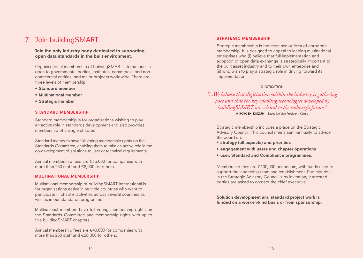### Join buildingSMART 7 STRATEGIC MEMBERSHIP

#### Join the only industry body dedicated to supporting open data standards in the built environment.

Organisational membership of buildingSMART International is open to governmental bodies, institutes, commercial and noncommercial entities, and major projects worldwide. There are three levels of membership:

- Standard member
- **Multinational** member
- Strategic member

#### STANDARD MEMBERSHIP

Standard membership is for organisations wishing to play an active role in standards development and also provides membership of a single chapter.

Standard members have full voting membership rights on the Standards Committee, enabling them to take an active role in the co-development of solutions to user or technical requirements.

Annual membership fees are €15,000 for companies with more than 250 staff and €8,000 for others.

#### **MULTINATIONAL** MEMBERSHIP

Multinational membership of buildingSMART International is for organisations active in multiple countries who want to participate in chapter activities across several countries as well as in our standards programme.

Multinational members have full voting membership rights on the Standards Committee and membership rights with up to five buildingSMART chapters.

Annual membership fees are €40,000 for companies with more than 250 staff and €20,000 for others.

Strategic membership is the most senior form of corporate membership. It is designed to appeal to leading multinational enterprises who (i) believe that full implementation and adoption of open data exchange is strategically important to the built asset industry and to their own enterprise and (ii) who wish to play a strategic role in driving forward its implementation.

#### DIGITISATION

*"...We believe that digitisation within the industry is gathering pace and that the key enabling technologies developed by buildingSMART are critical to the industry's future."*

HIROYOSHI KOIZUMI - Executive Vice President, Kajima

Strategic membership includes a place on the Strategic Advisory Council. This council meets semi-annually to advice the board on:

- strategy (all aspects) and priorities
- engagement with users and chapter operations
- user, Standard and Compliance programmes.

Membership fees are €100,000 per annum, with funds used to support the leadership team and establishment. Participation in the Strategic Advisory Council is by invitation; interested parties are asked to contact the chief executive.

Solution development and standard project work is funded on a work-in-kind basis or from sponsorship.